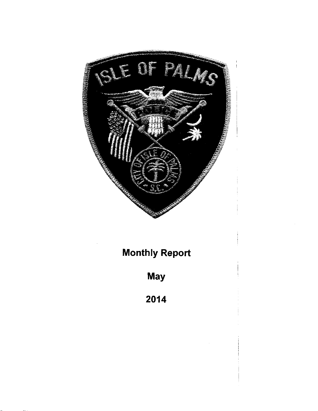

# Monthly Report

May

2014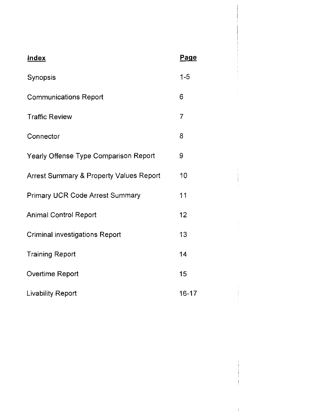| <b>Index</b>                            | <u>Page</u> |  |
|-----------------------------------------|-------------|--|
| Synopsis                                | $1 - 5$     |  |
| <b>Communications Report</b>            | 6           |  |
| <b>Traffic Review</b>                   | 7           |  |
| Connector                               | 8           |  |
| Yearly Offense Type Comparison Report   | 9           |  |
| Arrest Summary & Property Values Report | 10          |  |
| <b>Primary UCR Code Arrest Summary</b>  | 11          |  |
| <b>Animal Control Report</b>            | 12          |  |
| <b>Criminal investigations Report</b>   | 13          |  |
| <b>Training Report</b>                  | 14          |  |
| Overtime Report                         | 15          |  |
| <b>Livability Report</b>                | $16 - 17$   |  |

 $\pm$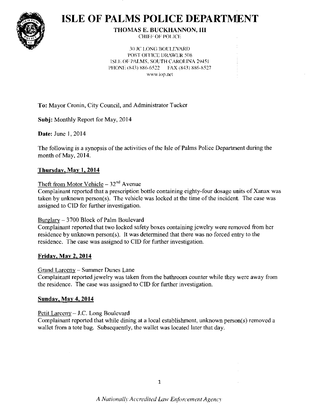

# **ISLE OF PALMS POLICE DEPARTMENT**

#### **THOMAS E. BUCKHANNON, III CHIEF OF POLICE**

**30 JC LONG BOULEVARD POST OFFICE DRAWER 508** ISLE OF PALMS, SOUTH CAROLINA 29451 PHONE (843) 886-6522 FAX (843) 886-8527 www.iop.net

To: Mayor Cronin, City Council, and Administrator Tucker

**Subj:** Monthly Report for May, 2014

**Date:** June 1, 2014

The following is a synopsis of the activities of the Isle of Palms Police Department during the month of May, 2014.

#### Thursday, May 1, 2014

#### Theft from Motor Vehicle  $-32<sup>nd</sup>$  Avenue

Complainant reported that a prescription bottle containing eighty-four dosage units of Xanax was taken by unknown person(s). The vehicle was locked at the time of the incident. The case was assigned to CID for further investigation.

#### Burglary - 3700 Block of Palm Boulevard

Complainant reported that two locked safety boxes containing jewelry were removed from her residence by unknown person(s). It was determined that there was no forced entry to the residence. The case was assigned to CID for further investigation.

#### **Friday, May 2, 2014**

Grand Larceny - Summer Dunes Lane

Complainant reported jewelry was taken from the bathroom counter while they were away from the residence. The case was assigned to CID for further investigation.

#### **Sunday, May 4, 2014**

#### Petit Larceny - J.C. Long Boulevard

Complainant reported that while dining at a local establishment, unknown person(s) removed a wallet from a tote bag. Subsequently, the wallet was located later that day.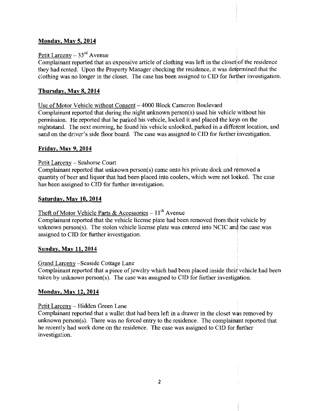#### Mondav. Mav 5. 2014

#### Petit Larceny –  $33<sup>rd</sup>$  Avenue

Complainant reported that an expensive article of clothing was left in the closet of the residence they had rented. Upon the Property Manager checking the residence, it was determined that the clothing was no longer in the closet. The case has been assigned to CID for further investigation.

#### Thursday, May  $8, 2014$

Use of Motor Vehicle without Consent – 4000 Block Cameron Boulevard Complainant reported that during the night unknown person(s) used his vehicle without his permission. He reported that he parked his vehicle, locked it and placed the keys on the nightstand. The next morning, he found his vehicle unlocked, parked in a different location, and sand on the driver's side floor board. The case was assigned to CID for further investigation.

#### Fridav. May 9. 2014

#### Petit Larceny - Seahorse Court

Complainant reported that unknown person(s) came onto his private dock and removed a quantity of beer and liquor that had been placed into coolers, which were not locked. The case has been assigned to CID for further investigation.

#### Saturdav. Mav 10. 2014

#### Theft of Motor Vehicle Parts & Accessories  $-11$ <sup>th</sup> Avenue

Complainant reported that the vehicle license plate had been removed from theif vehicle by unknown person(s). The stolen vehicle license plate was entered into NCIC and the case was assigned to CID for further investigation.

#### Sunday, May 11, 2014

#### Grand Larcenv -Seaside Cottage Lane

Complainant reported that a piece of jewelry which had been placed inside their vehicle had been taken by unknown person(s). The case was assigned to CID for further investigation.

#### Mondav. Mav 12. 2014

#### Petit Larceny - Hidden Green Lane

Complainant reported that a wallet that had been left in a drawer in the closet was removed by unknown person(s). There was no forced entry to the residence. The complainant reported that he recently had work done on the residence. The case was assigned to CID for further investigation.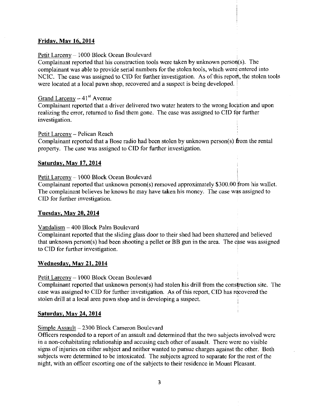#### Fridav. Mav 16. 2014

#### Petit Larceny - 1000 Block Ocean Boulevard

Complainant reported that his construction tools were taken by unknown person(s). The complainant was able to provide serial numbers for the stolen tools, which were entered into NCIC. The case was assigned to CID for further investigation. As of this report, the stolen tools were located at a local pawn shop, recovered and a suspect is being developed.

#### Grand Larceny  $-41<sup>st</sup>$  Avenue

Complainant reported that a driver delivered two water heaters to the wrong locption and upon realizing the error, returned to find them gone. The case was assigned to CID for further investigation.

#### Petit Larceny - Pelican Reach

Complainant reported that a Bose radio had been stolen by unknown person(s) ftom the rental property. The case was assigned to CID for further investigation.

#### Saturdav. May 17. 2014

#### Petit Larceny - 1000 Block Ocean Boulevard

Complainant reported that unknown person(s) removed approximately \$300.00 from his wallet. The complainant believes he knows he may have taken his money. The case was assigned to CID for further investigation.

#### Tuesdav. Mav 20. 2014

#### Vandalism 400 Block Palm Boulevard

Complainant reported that the sliding glass door to their shed had been shattered and believed that unknown person(s) had been shooting a pellet or BB gun in the area. The case was assigned to CID for further investigation.

#### Wednesdav. Mav 21. 2014

Petit Larcenv 1000 Block Ocean Boulevard

Complainant reported that unknown person(s) had stolen his drill from the construction site. The case was assigned to CID for further investigation. As of this report, CID has recovered the stolen drill at a local area pawn shop and is developing a suspect.

#### Saturdav. Mav 24. 2014

#### Simple Assault - 2300 Block Cameron Boulevard

Officers responded to a report of an assault and determined that the two subjects involved were in a non-cohabitating relationship and accusing each other of assault. There were no visible signs of injuries on either subject and neither wanted to pursue charges against the other. Both subjects were determined to be intoxicated. The subjects agreed to separate for the rest of the night, with an officer escorting one of the subjects to their residence in Mount Pleasant.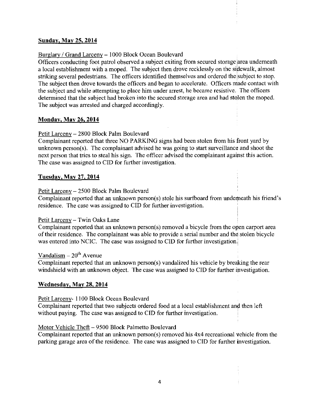#### Sunday, May 25, 2014

#### Burglary / Grand Larceny - 1000 Block Ocean Boulevard

Officers conducting foot patrol observed a subject exiting from secured storage area underneath a local establishment with a moped. The subject then drove recklessly on the sipewalk, almost striking several pedestrians. The officers identified themselves and ordered the subject to stop. The subject then drove towards the officers and began to accelerate. Officers made contact with the subject and while attempting to place him under arrest, he became resistive. The officers determined that the subject had broken into the secured storage area and had stolen the moped. The subject was arrested and charged accordingly.

#### Mondav. Mav 26. 2014

#### Petit Larceny - 2800 Block Palm Boulevard

Complainant reported that three NO PARKING signs had been stolen from his front yard by unknown person(s). The complainant advised he was going to start surveillance and shoot the next person that tries to steal his sign. The officer advised the complainant agaimst this action. The case was assigned to CID for further investigation.

#### Tuesdav. Mav 2?. 2014

#### Petit Larceny - 2500 Block Palm Boulevard

Complainant reported that an unknown person(s) stole his surfboard from underneath his friend's residence. The case was assigned to CID for further investigation.

#### Petit Larceny - Twin Oaks Lane

Complainant reported that an unknown person(s) removed a bicycle from the open carport area of their residence. The complainant was able to provide a serial number and the stolen bicycle was entered into NCIC. The case was assigned to CID for further investigation.

#### Vandalism  $-20<sup>th</sup>$  Avenue

Complainant reported that an unknown person(s) vandalized his vehicle by brealking the rear windshield with an unknown object. The case was assigned to CID for further ipvestigation.

#### Wednesdav. May 28. 2014

Petit Larceny- 1 100 Block Ocean Boulevard

Complainant reported that two subjects ordered food at a local establishment an{ then left without paying. The case was assigned to CID for further investigation.

#### Motor Vehicle Theft - 9500 Block Palmetto Boulevard

Complainant reported that an unknown person(s) removed his 4x4 recreational vehicle from the parking garage area of the residence. The case was assigned to CID for further investigation.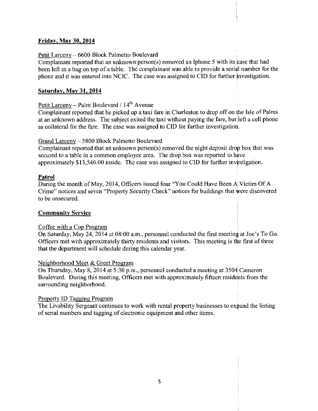#### Friday. Mav 30. 2014

#### Petit Larceny - 6600 Block Palmetto Boulevard

Complainant reported that an unknown person(s) removed an Iphone 5 with its case that had been left in a bag on top of a table. The complainant was able to provide a serial number for the phone and it was entered into NCIC. The case was assigned to CID for further investigation.

#### Saturday. Mav 31. 2014

Petit Larceny - Palm Boulevard / l4'h Avenue

Complainant reported that he picked up a taxi fare in Charleston to drop offon the Isle of Palms at an unknown address. The subject exited the taxi without paying the fare, but left a cell phone as collateral for the fare. The case was assigned to CID for further investigation.

#### Grand Larceny - 5800 Block Palmetto Boulevard

Complainant reported that an unknown person(s) removed the night deposit drop box that was secured to a table in a common employee area. The drop box was reported to have approximately \$13,546.00 inside. The case was assigned to CID for further investigation.

#### Patrol

During the month of May, 2014, Officers issued four "You Could Have Been A Victim Of A Crime" notices and seven "Properly Security Check" notices for buildings that were discovered to be unsecured.

#### **Community Service**

#### Coffee with a Cop Program

On Saturday, May 24,2014 at 08:00 a.m., personnel conducted the first meeting at Joe's To Go. Officers met with approximately thirty residents and visitors. This meeting is the first of three that the department will schedule during this calendar year.

#### Neighborhood Meet & Greet Program

On Thursday, May 8,2014 at 5:30 p.m., personnel conducted a meeting at 3504 Cameron Boulevard. During this meeting, Officers met with approximately fifteen residents from the surrounding neighborhood.

#### Property ID Tagging Program

The Livability Sergeant continues to work with rental property businesses to expand the listing of serial numbers and tagging of electronic equipment and other items.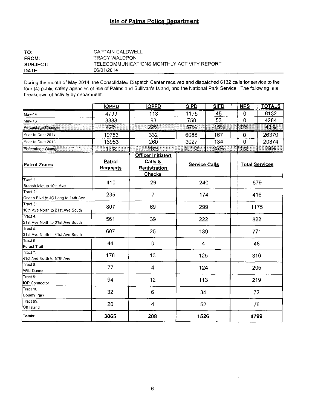### **Isle of Palms Police Department**

| TO:             | CAPTAIN CALDWELL                           |
|-----------------|--------------------------------------------|
| <b>FROM:</b>    | TRACY WALDRON                              |
| <b>SUBJECT:</b> | TELECOMMUNICATIONS MONTHLY ACTIVITY REPORT |
| DATE:           | 06/01/2014                                 |

During the month of May 2014, the Consolidated Dispatch Center received and dispatched 6132 calls for service to the four (4) public safety agencies of Isle of Palms and Sullivan's Island, and the National Park Service. The following is a breakdown of activity by department.

|                                               | <b>IOPPD</b>              | <b>IOPFD</b>                                                         | <b>SIPD</b>          | <b>SIFD</b> | <b>NPS</b> | <b>TOTALS</b>         |
|-----------------------------------------------|---------------------------|----------------------------------------------------------------------|----------------------|-------------|------------|-----------------------|
| May-14                                        | 4799                      | 113                                                                  | 1175                 | 45          | 0          | 6132                  |
| May-13                                        | 3388                      | 93                                                                   | 750                  | 53          | $\Omega$   | 4284                  |
| Percentage Change                             | 42%                       | 22%                                                                  | 57%                  | $-15%$      | 0%         | 43%                   |
| Year to Date 2014                             | 19783                     | 332                                                                  | 6088                 | 167         | 0          | 26370                 |
| Year to Date 2013                             | 16953                     | 260                                                                  | 3027                 | 134         | 0          | 20374                 |
| Percentage Change                             | 17%                       | 28%                                                                  | 101%                 | 25%         | $0\%$      | 29%                   |
| <b>Patrol Zones</b>                           | Patrol<br><b>Requests</b> | <b>Officer Initiated</b><br>Calls &<br><b>Registration</b><br>Checks | <b>Service Calls</b> |             |            | <b>Total Services</b> |
| Tract 1:<br>Breach Inlet to 10th Ave          | 410                       | 29                                                                   | 240                  |             |            | 679                   |
| Tract 2:<br>Ocean Blvd to JC Long to 14th Ave | 235                       | $\overline{7}$                                                       | 174                  |             |            | 416                   |
| lTract 3∶<br>10th Ave North to 21st Ave South | 807                       | 69                                                                   | 299                  |             |            | 1175                  |
| Tract 4:<br>21st Ave North to 31st Ave South  | 561                       | 39                                                                   | 222                  |             |            | 822                   |
| Tract 5:<br>31st Ave North to 41st Ave South  | 607                       | 25                                                                   | 139                  |             |            | 771                   |
| $\sqrt{\text{Tract } 6}$ :<br>Forest Trail    | 44                        | $\mathbf 0$                                                          | 4                    |             |            | 48                    |
| $T$ ract 7:<br>41st Ave North to 57th Ave     | 178                       | 13                                                                   | 125                  |             |            | 316                   |
| frac 1<br>Wild Dunes                          | 77                        | $\overline{\mathbf{4}}$                                              | 124                  |             |            | 205                   |
| Tract 9:<br>IOP Connector                     | 94                        | 12                                                                   | 113                  |             |            | 219                   |
| Tract 10<br>County Park                       | 32                        | 6                                                                    | 34                   |             |            | 72                    |
| Tract 99:<br>Off Island                       | 20                        | $\overline{4}$                                                       | 52                   |             |            | 76                    |
| Totals:                                       | 3065                      | 208                                                                  | 1526                 |             |            | 4799                  |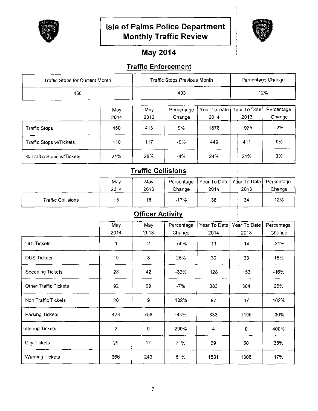

# Isle of Palms Police Department **Monthly Traffic Review**



# **May 2014**

## **Traffic Enforcement**

| Traffic Stops for Current Month |             |             | Traffic Stops Previous Month |                      |                      | Percentage Change    |
|---------------------------------|-------------|-------------|------------------------------|----------------------|----------------------|----------------------|
| 450                             |             |             | 403                          |                      |                      | 12%                  |
|                                 | May<br>2014 | May<br>2013 | Percentage<br>Change         | Year To Date<br>2014 | Year To Date<br>2013 | Percentage<br>Change |
| <b>Traffic Stops</b>            | 450         | 413         | 9%                           | 1878                 | 1925                 | $-2%$                |
| Traffic Stops w/Tickets         | 110         | 117         | -6%                          | 449                  | 411                  | 9%                   |
| % Traffic Stops w/Tickets       | 24%         | 28%         | $-4%$                        | 24%                  | 21%                  | 3%                   |

# **Traffic Collisions**

|                    | May  | Mav  | Percentage | <sup>!</sup> Year To Date   Year To Date   ∶ |      | Percentage |
|--------------------|------|------|------------|----------------------------------------------|------|------------|
|                    | 2014 | 2013 | Change     | 2014                                         | 2013 | Change     |
| Traffic Collisions | 15   | 18   | $-17%$     | 38                                           | 34   | 12%        |

# **Officer Activity**

|                              | May<br>2014    | May<br>2013    | Percentage<br>Change | Year To Date<br>2014 | Year To Date<br>2013 | Percentage<br>Change |
|------------------------------|----------------|----------------|----------------------|----------------------|----------------------|----------------------|
| <b>DUI Tickets</b>           | 1              | $\overline{2}$ | $-50%$               | 11                   | 14                   | $-21%$               |
| <b>DUS Tickets</b>           | 10             | 8              | 25%                  | 39                   | 33                   | 18%                  |
| Speeding Tickets             | 28             | 42             | $-33%$               | 128                  | 153                  | $-16%$               |
| <b>Other Traffic Tickets</b> | 92             | 99             | -7%                  | 383                  | 304                  | 26%                  |
| Non Traffic Tickets          | 20             | 9              | 122%                 | 97                   | 37                   | 162%                 |
| Parking Tickets              | 423            | 758            | $-44%$               | 833                  | 1195                 | $-30%$               |
| Littering Tickets            | $\overline{c}$ | 0              | 200%                 | 4                    | 0                    | 400%                 |
| <b>City Tickets</b>          | 29             | 17             | 71%                  | 69                   | 50                   | 38%                  |
| <b>Warning Tickets</b>       | 366            | 243            | 51%                  | 1531                 | 1308                 | 17%                  |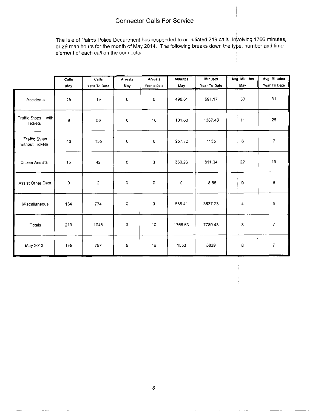#### Connector Calls For Service

The lsle of Palms Police Department has responded to or initiated 219 calls, involving 1766 minutes, or 29 man hours for the month of May 2014. The following breaks down the type, number and time element of each call on the connector.

|                                         | Calls | Calls          | Arrests     | Arrests      | <b>Minutes</b> | Minutes      | Avg. Minutes            | Avg. Minutes             |
|-----------------------------------------|-------|----------------|-------------|--------------|----------------|--------------|-------------------------|--------------------------|
|                                         | May   | Year To Date   | May         | Year to Date | May            | Year To Date | May                     | Year To Date             |
| Accidents                               | 15    | 19             | 0           | 0            | 490.61         | 591.17       | $\pm$ 33                | 31                       |
| Traffic Stops<br>with<br><b>Tickets</b> | 9     | 56             | 0           | 10           | 101.63         | 1387.48      | 11                      | 25                       |
| <b>Traffic Stops</b><br>without Tickets | 46    | 155            | 0           | 0            | 257.72         | 1135         | $\,$ 6<br>$\mathcal{L}$ | $\boldsymbol{7}$         |
| <b>Citizen Assists</b>                  | 15    | 42             | 0           | $\mathbf 0$  | 330.26         | 811.04       | 22                      | 19                       |
| Assist Other Dept.                      | 0     | $\overline{2}$ | $\circ$     | $\mathbf 0$  | 0              | 18.56        | $\pm 0$                 | 9                        |
| Miscellaneous                           | 134   | 774            | 0           | 0            | 586.41         | 3837.23      | $-4$                    | 5                        |
| Totals                                  | 219   | 1048           | $\mathbf 0$ | 10           | 1766.63        | 7780.48      | 8                       | $\overline{\mathcal{L}}$ |
| May 2013                                | 185   | 787            | 5           | 16           | 1553           | 5839         | 8 <sub>1</sub>          | $\boldsymbol{7}$         |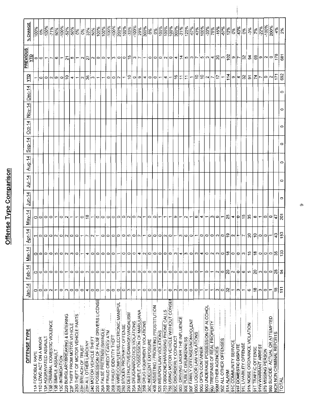# Offense Type Comparison

| % CHANGE             | $\frac{100\%}{100\%}$          |                        | $\frac{10\%}{100\%}$  | 71%                           | 50%                              |                 | $\frac{\left \frac{8}{5}\right }{\left \frac{6}{5}\right  \left \frac{6}{5}\right }$ |                             | 3                               |                          | $\frac{8}{33}$ %     | 50%                     | 100%                                   |                            | $\frac{100\%}{100\%}$            | $\frac{800}{100}$        | $\frac{8}{200}$                            | $\frac{8}{100\%}$           | $-33%$                          | $-100\%$                      | 29%                               | 300%                          | 0%                    | $ 8\rangle$                           | 100%                     | $\frac{900}{100\%}$              |                                       | $\frac{100\%}{300\%}$         |                                        | $\frac{-21\%}{120\%}$  | $-67%$                                |                                     |                    |                                           |                               |                                                                                        |                          |                 |                       |                                                  | 0%                       | $-3%$                         | $\frac{1}{2}$       |                                          | $\frac{22\%}{100\%}$ | 200%                               | $\frac{12}{3}$           |                        |
|----------------------|--------------------------------|------------------------|-----------------------|-------------------------------|----------------------------------|-----------------|--------------------------------------------------------------------------------------|-----------------------------|---------------------------------|--------------------------|----------------------|-------------------------|----------------------------------------|----------------------------|----------------------------------|--------------------------|--------------------------------------------|-----------------------------|---------------------------------|-------------------------------|-----------------------------------|-------------------------------|-----------------------|---------------------------------------|--------------------------|----------------------------------|---------------------------------------|-------------------------------|----------------------------------------|------------------------|---------------------------------------|-------------------------------------|--------------------|-------------------------------------------|-------------------------------|----------------------------------------------------------------------------------------|--------------------------|-----------------|-----------------------|--------------------------------------------------|--------------------------|-------------------------------|---------------------|------------------------------------------|----------------------|------------------------------------|--------------------------|------------------------|
| <b>PREVIOUS</b><br>ም |                                |                        | 이이드                   | r                             | $ \mathbf{\omega} $ $\mathbf{-}$ |                 |                                                                                      |                             | ∣ଆ∾∣–                           |                          |                      |                         |                                        | $\omega$                   |                                  |                          |                                            |                             |                                 | $ \omega $ r $ $              |                                   | $\blacksquare$                |                       | 이어                                    |                          |                                  |                                       |                               |                                        |                        |                                       |                                     |                    |                                           |                               | $ \circ $ ပ $ \circ $ ႕ $ $ ‡ $ \circ $ ပ $ \circ $ ပ $ \circ $ ႕ $ $ 8 $ \circ $ တ္ကိ |                          |                 |                       |                                                  | 이니어                      |                               |                     |                                          |                      | 국  용 히 히 이동                        |                          | 681                    |
| 무                    |                                |                        | 이아시아이들                |                               |                                  |                 |                                                                                      |                             | $\frac{4}{5}$                   |                          |                      |                         | $ v $ မ္ကုမ $ -\rangle$                | $\overline{\phantom{m}}$   | $\circ$                          |                          | $\log$                                     |                             | $ \Xi $                         | ∣⇔∣െ                          |                                   |                               | $\frac{4}{10}$        |                                       | $\overline{\phantom{0}}$ | $\blacktriangledown$             | $\overline{\phantom{m}}$              | $\frac{6}{1}$                 | $\vert \Xi \vert$                      | ΙΞ                     | $\overline{\phantom{0}}$              |                                     | $\frac{1}{2}$      |                                           |                               | $\frac{1}{2}$                                                                          | $\overline{\phantom{0}}$ | $\frac{114}{1}$ |                       | ∣অ∣ৰ                                             |                          | 씱기                            | z                   | Ļ                                        | ⊂∣∾                  |                                    | $\mathbb{Z}$ as          |                        |
| $Dec-14$             |                                |                        |                       |                               |                                  |                 |                                                                                      |                             |                                 |                          |                      |                         |                                        |                            |                                  |                          |                                            |                             |                                 |                               |                                   |                               |                       |                                       |                          |                                  |                                       |                               |                                        |                        |                                       |                                     |                    |                                           |                               |                                                                                        |                          |                 |                       |                                                  |                          |                               |                     |                                          |                      |                                    |                          | $\circ$                |
| Nov-14               |                                |                        |                       |                               |                                  |                 |                                                                                      |                             |                                 |                          |                      |                         |                                        |                            |                                  |                          |                                            |                             |                                 |                               |                                   |                               |                       |                                       |                          |                                  |                                       |                               |                                        |                        |                                       |                                     |                    |                                           |                               |                                                                                        |                          |                 |                       |                                                  |                          |                               |                     |                                          |                      |                                    |                          | $\circ$                |
| $Oct-14$             |                                |                        |                       |                               |                                  |                 |                                                                                      |                             |                                 |                          |                      |                         |                                        |                            |                                  |                          |                                            |                             |                                 |                               |                                   |                               |                       |                                       |                          |                                  |                                       |                               |                                        |                        |                                       |                                     |                    |                                           |                               |                                                                                        |                          |                 |                       |                                                  |                          |                               |                     |                                          |                      |                                    |                          | $\circ$                |
| $5ep-14$             |                                |                        |                       |                               |                                  |                 |                                                                                      |                             |                                 |                          |                      |                         |                                        |                            |                                  |                          |                                            |                             |                                 |                               |                                   |                               |                       |                                       |                          |                                  |                                       |                               |                                        |                        |                                       |                                     |                    |                                           |                               |                                                                                        |                          |                 |                       |                                                  |                          |                               |                     |                                          |                      |                                    |                          | $\circ$                |
| <b>Aug.14</b>        |                                |                        |                       |                               |                                  |                 |                                                                                      |                             |                                 |                          |                      |                         |                                        |                            |                                  |                          |                                            |                             |                                 |                               |                                   |                               |                       |                                       |                          |                                  |                                       |                               |                                        |                        |                                       |                                     |                    |                                           |                               |                                                                                        |                          |                 |                       |                                                  |                          |                               |                     |                                          |                      |                                    |                          | $\circ$                |
| $Jul-14$             |                                |                        |                       |                               |                                  |                 |                                                                                      |                             |                                 |                          |                      |                         |                                        |                            |                                  |                          |                                            |                             |                                 |                               |                                   |                               |                       |                                       |                          |                                  |                                       |                               |                                        |                        |                                       |                                     |                    |                                           |                               |                                                                                        |                          |                 |                       |                                                  |                          |                               |                     |                                          |                      |                                    |                          | $\circ$                |
| $lim-14$             |                                |                        |                       |                               |                                  |                 |                                                                                      |                             |                                 |                          |                      |                         |                                        |                            |                                  |                          |                                            |                             |                                 |                               |                                   |                               |                       |                                       |                          |                                  |                                       |                               |                                        |                        |                                       |                                     |                    |                                           |                               |                                                                                        |                          |                 |                       |                                                  |                          |                               |                     |                                          |                      |                                    |                          | $\circ$                |
| $M$ ay-14            | 010                            |                        | $\circ$               | $\circ$                       |                                  |                 | $O[N]$ –                                                                             |                             | $\overline{\phantom{m}}$        |                          | ం∣జ                  |                         |                                        | 0000000000                 |                                  |                          |                                            |                             |                                 |                               |                                   | $\overline{\phantom{0}}$      | ం∣ం                   |                                       |                          | ↽                                |                                       | $\sigma$                      |                                        |                        | $- Q $                                |                                     |                    |                                           |                               | $\omega$ $\sim$ $\omega$ $\sim$                                                        |                          | 5               | ∣≁∣¢                  |                                                  | $ 5 $ ង                  |                               | $\infty$            | $\left\vert -\right\vert$ o $\left\vert$ |                      | െ                                  | 는                        | $ \tilde{\textrm{S}} $ |
| $Apr-14$             |                                | $\qquad \qquad \Box$   | $\circ$               |                               |                                  |                 | 000000                                                                               |                             |                                 |                          |                      | $\sim$                  |                                        |                            | 이이                               |                          |                                            |                             |                                 |                               |                                   |                               |                       |                                       |                          |                                  |                                       |                               |                                        |                        |                                       | 0 0 0 0 0 0 0 0 0 0 0 0 0 0 0 0 0 0 |                    |                                           |                               | 이이이이이이어  +                                                                             |                          |                 |                       |                                                  | $\overline{\phantom{a}}$ |                               |                     | 왕이아                                      |                      |                                    | $\frac{3}{4}$            | နို့                   |
| 斗<br><u>Si</u>       | O                              | $\circ$                | $\circ$               | $\bullet$                     | 5                                | 0               | $\sim$                                                                               | $\infty$                    | 0                               | $\overline{\phantom{0}}$ | 4                    | $\circ$                 | 0                                      | $\circ$                    | $\circ$                          | $\circ$                  | $\overline{\phantom{0}}$                   | $\circ$                     | $\circ$                         | $\circ$                       | 4                                 | $\sim$                        | $\circ$               | O                                     | $\circ$                  | $\bullet$                        | $\circ$                               | $ \bm{\mathsf{c}} $           | 4                                      | ത                      | $\circ$                               | S                                   | 4                  | $\circ$                                   | $\sim$                        | က                                                                                      | $\circ$                  | $\frac{8}{1}$   | 0                     | $\dot{\mathsf{P}}$                               | S                        | 49                            | $\frac{8}{5}$       | $\circ$                                  | $\circ$              | $\circ$                            | နိ                       | $\ddot{\mathcal{L}}$   |
| Feb.14               | 0                              | $\circ$                | $\circ$               | $\circ$                       | 0                                | 0               |                                                                                      | 0                           | 0                               | 0                        | ω                    | 0                       | 0                                      | 0                          | ٥                                | $\circ$                  |                                            |                             | 0                               | 0                             | 0                                 | 0                             | 0                     | $\circ$                               | 0                        | 0                                | $\circ$                               | 0                             | 0                                      | $\circ$                | $\circ$                               | $\circ$                             |                    | ٥                                         |                               | $\sim$                                                                                 | 0                        | ຊ               | $\sim$                | ф                                                | ဖ                        | 5                             | $\overline{20}$     | က                                        | $\circ$              | $\circ$                            | $\frac{8}{3}$            | $\frac{4}{5}$          |
| $Jan-14$             | 0                              | 0                      | $\circ$               | $\sim$                        | $\overline{\phantom{a}}$         | ۰               | S                                                                                    | ۰                           | ۰                               | ۰                        | 4                    | $\circ$                 | ٥                                      | $\overline{\phantom{0}}$   | 0                                | $\circ$                  | $\circ$                                    | $\circ$                     | S.                              | $\circ$                       |                                   | 0                             | 0                     | $\circ$                               | $\circ$                  |                                  | ۰                                     | က                             | S.                                     | $\circ$                | $\circ$                               | $\circ$                             | $\overline{ }$     | ᡪ                                         | ᡪ                             | S                                                                                      | $\circ$                  | ్ల              | ↽                     | ტ                                                | T                        | 6                             | $\frac{8}{10}$      | S                                        | $\circ$              | ┯                                  | $\frac{8}{1}$            | $\ddot{ }$             |
| OFFENSE TYPE         | FORCIBLE RAPE<br>$\frac{4}{1}$ | 1D LEWD ACT ON A MINOR | 3A AGGRAVATED ASSAULT | 38 CRIMINAL DOMESTIC VIOLENCE | 3B SIMPLE ASSAUL                 | 3C INTIMIDATION | 20 BURGLARY/BREAKING & ENTERING                                                      | 3F THEFT FROM MOTOR VEHICLE | 3G THEFT OF MOTOR VEHICLE PARTS | 3H BREACH OF TRUS        | 3H ALL OTHER LARCENY | 240 MOTOR VEHICLE THEFT | 50 POSSESSION OF FALSE DRIVERS LICENSE | 26A FALSE PRETENSE/SWINDLE | <b>6B FRAUD CREDIT CARD/ ATM</b> | 6B FRAUD/ IDENTITY THEFT | <b>6E WIRE/COMPUTER/ELECTRONIC MANIPUL</b> | 280 STOLEN PROPERTY OFFENSE | 90 DESTRUCTIVE/DAMAGE/VANDALISM | 35A DRUG/NARCOTICS VIOLATIONS | 5A SIMPLE POSSESSION OF MARIJUANA | 35B DRUG EQUIPMENT VIOLATIONS | 36C INDECENT EXPOSURE | 40B ASSISTING / PROMTING PROSTITUTION | 20 WEAPON LAW VIOLATIONS | 53 OBSCENE/HARASSING PHONE CALLS | 56 USING MOTOR VEHICLE WITHOUT CONSEI | <b>JOC DISORDERLY CONDUCT</b> | <b>00D DRIVING UNDER THE INFLUENCE</b> | 90E PUBLIC DRUNKENNESS | <b>90F FAMILY OFFENSES/NONVIOLENT</b> | <b>BOG LIQUOR LAW VIOLATIONS</b>    | 90G OPEN CONTAINER | <b>90G UNDERAGE POSSESSION OF ALCOHOL</b> | 90J TRESPASS OF REAL PROPERTY | 90M OTHER AGENCIES                                                                     | 90Z ALL OTHER OFFENSES   | 91A ALARM       | 91C COMMUNITY SERVICE | $\ddot{\cdot}$<br>$\sim$<br>91F DOMESTIC DISPUTE | 91L LIVABILITY OFFENSE   | 91N NOISE ORDINANCE VIOLATION | 91T TRAFFIC OFFENSE | 91W WARRANT ARREST                       | 79 MISSING PERSON    | OR ATTEMPTED<br>980 SUICIDE ACTUAL | NCR NON CRIMINAL REPORTS | <b>IQTAL</b>           |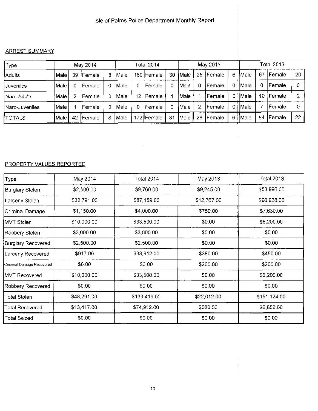#### Isle of Palms Police Department Monthly Report

#### **ARREST SUMMARY**

| Type           |               |    | May 2014       |   |             |    | Total 2014   |    |                    |    | May 2013       |    |                     |    | Total 2013     |    |
|----------------|---------------|----|----------------|---|-------------|----|--------------|----|--------------------|----|----------------|----|---------------------|----|----------------|----|
| <b>Adults</b>  | Male          | 39 | Female         | 8 | lMale       |    | 160   Female | 30 | <i><b>Male</b></i> | 25 | <b>IFemale</b> | 6. | <i>Male</i>         | 67 | <b>IFemale</b> | 20 |
| Juveniles      | Male          |    | lFemale        | 0 | Male)       |    | Female       |    | Male               |    | Female         | 0. | <i><b>IMale</b></i> | 0  | Female         |    |
| Narc-Adults    | Male          |    | lFemale        | 0 | IMale       | 12 | Female       |    | Male:              |    | lFemale        | 0  | Male                | 10 | Female         |    |
| Narc-Juveniles | lMale.        |    | lFemale.       | 0 | Male        |    | Female       |    | ∣Male              |    | lFemale        | 0  | Male                |    | Female         |    |
| <b>TOTALS:</b> | <b>I</b> Male | 42 | <b>IFemale</b> | 8 | <b>Male</b> |    | 172 Female   | 31 | Male               | 28 | <b>IFemale</b> | 6  | Male                | 84 | Female         | 22 |

#### PROPERTY VALUES REPORTED

| Type                      | May 2014    | <b>Total 2014</b> | May 2013    | <b>Total 2013</b> |
|---------------------------|-------------|-------------------|-------------|-------------------|
| <b>Burglary Stolen</b>    | \$2,500.00  | \$9,760.00        | \$9,245.00  | \$53,996.00       |
| Larceny Stolen            | \$32,791.00 | \$87,159.00       | \$12,767.00 | \$90,928.00       |
| Criminal Damage           | \$1,150.00  | \$4,000.00        | \$750.00    | \$7,630.00        |
| IMVT Stolen               | \$10,000.00 | \$33,500.00       | \$0.00      | \$6,200.00        |
| Robbery Stolen            | \$3,000.00  | \$3,000.00        | \$0.00      | \$0.00            |
| Burglary Recovered        | \$2,500.00  | \$2,500.00        | \$0.00      | \$0.00            |
| Larceny Recovered         | \$917.00    | \$38,912.00       | \$380.00    | \$450.00          |
| Criminal Damage Recovered | \$0.00      | \$0.00            | \$200.00    | \$200.00          |
| IMVT Recovered            | \$10,000.00 | \$33,500.00       | \$0.00      | \$6,200.00        |
| Robbery Recovered         | \$0.00      | \$0.00            | \$0.00      | \$0.00            |
| Total Stolen              | \$48,291.00 | \$133,419.00      | \$22,012.00 | \$151,124.00      |
| Total Recovered           | \$13,417.00 | \$74,912.00       | \$580.00    | \$6,850.00        |
| <b>Total Seized</b>       | \$0.00      | \$0.00            | \$0.00      | \$0.00            |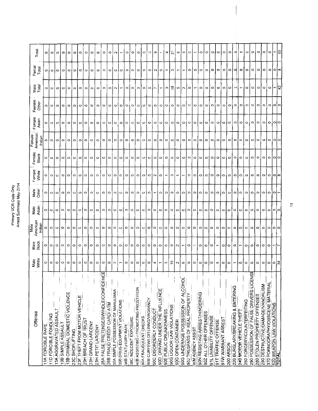# Primary UCR Code Only<br>Arrest Summary May 2014

|                                         |                |                          | Male               |                 |                       |                        |                 | Female             |                 |                 |                          |                |             |
|-----------------------------------------|----------------|--------------------------|--------------------|-----------------|-----------------------|------------------------|-----------------|--------------------|-----------------|-----------------|--------------------------|----------------|-------------|
| Offense                                 | White<br>Male  | <b>Black</b><br>Male     | American<br>Indian | Male<br>Asian   | Male<br>Other         | Female<br><b>Mhite</b> | Female<br>Black | American<br>Indian | Female<br>Asian | Female<br>Other | Male<br>Total            | Femal<br>Total | Total       |
| 11A FORCIBLE RAPE                       | O              | $\circ$                  | ۰                  | o               |                       | $\circ$                | $\circ$         |                    |                 |                 |                          |                |             |
|                                         |                |                          |                    |                 | $\circ$               |                        |                 | 0                  | 0               | ۰               | 0                        | o              | ۰           |
| 11D FORCIBLE FONDLING                   | $\circ$        | $\circ$                  | $\circ$            | ∘∣              | lo) o                 | $\circ$                | $\circ$         | 010                | $\circ$         | $\circ$         | $\circ$                  | l ol           | $\circ$     |
| 13A AGGRAVATED ASSAU                    | $\circ$        | $\circ$                  | $\circ$            | $\circ$         |                       | $\circ$                | $\circ$         |                    | $\circ$         | o               | $\circ$                  | $\circ$        | $\circ$     |
| 13B SIMPLE ASSAULT                      | $\circ$        | $\circ$                  | $\circ$            | $\circ$         | $\circ$               | $\circ$                | 0               | ۰                  | $\circ$         | $\circ$         | $\circ$                  | $\circ$        | $\circ$     |
| 13B CRIMINAL DOMESTIC VIOLENCE<br>23C   | $\circ$        | $\circ$                  | $\circ$            | $\circ$         | $\circ$               | $\circ$                | ۰               | O                  | $\circ$         | ۰               | $\circ$                  | $\circ$        | $\circ$     |
| <b>SHOPLIFTING</b>                      | 0              | $\circ$                  | ۰                  | $\circ$         | $\circ$               | $\circ$                | 0               | $\circ$            | $\circ$         | Φ               | $\circ$                  | ۰              | $\circ$     |
| 23F THEFT FROM MOTOR VEHICLE            | $\circ$        | O                        | $\circ$            | $\circ$         | $\circ$               | O                      | Φ               | o                  | o               | $\circ$         | $\circ$                  | $\circ$        | ۰           |
| 23H BREACH OF TRUST                     | $\circ$        | $\circ$                  | $\circ$            | $\circ$         | $\circ$               | $\circ$                | $\circ$         | $\circ$            | 0               | Ο               | o                        | o              | Ō           |
| 23H GRAND LARCENY                       | 0              | $\circ$                  | $\circ$            | $\circ$         | $\circ$               | $\circ$                | $\circ$         | $\circ$            | $\circ$         | O               | O                        | $\circ$        | $\circ$     |
| 23H PETIT LARCENY                       | $\circ$        | $\circ$                  | $\circ$            | $\circ$         | $\circ$               | o                      | 0               | $\circ$            | $\circ$         | Ο               | $\circ$                  | $\circ$        | $\circ$     |
| 26A FALSE PRETENSE/SWINDLE/CONFIDENCE   | $\circ$        | $\circ$                  | $\circ$            | O               | $\circ$               | $\circ$                | $\circ$         | $\circ$            | ۰               | ۰               | $\circ$                  | $\circ$        | $\circ$     |
| 26B FRAUD CREDIT CARD/ ATM              | $\circ$        | $\circ$                  | $\circ$            | $\circ$         | $\circ$               | $\circ$                | $\circ$         | $\circ$            | $\circ$         | O               | $\circ$                  | ۰              | $\circ$     |
| 35A SIMPLE POSSESSION OF MARIJUANA      | $\sim$         | $\circ$                  | $\circ$            | $\circ$         | $\circ$               | $\circ$                | 0               | $\circ$            | $\circ$         | $\circ$         | $\sim$                   | o              | $^{\circ}$  |
| 35B DRUG EQUIPMENT VIOLATIONS           | $\overline{ }$ | $\circ$                  | $\circ$            | $\circ$         | $\circ$               | $\circ$                | ۰               | 0                  | $\circ$         | O               | ٣                        | o              | ↽           |
| 36B STATUTORY RAPE                      | $\circ$        | $\circ$                  | $\circ$            | $\circ$         | $\circ$               | 0                      | 0               | $\circ$            | $\circ$         | $\circ$         | $\circ$                  | $\circ$        | $\circ$     |
| 36C INDECENT EXPOSURE                   | $\circ$        | $\circ$                  | $\circ$            | $\circ$         | $\circ$               | $\circ$                | $\circ$         | $\circ$            | $\circ$         | $\circ$         | $\circ$                  | 0              | $\circ$     |
| 40B ASSISTING / PROMOTING PROSTITION    | 0              | $\circ$                  | $\circ$            | $\circ$         | $\circ$               | $\circ$                | 0               | ۰                  | $\circ$         | Ο               | $\circ$                  | $\circ$        | $\circ$     |
| 90A FRAUDULENT CHECKS                   | $\circ$        | $\circ$                  | $\circ$            | $\circ$         | $\qquad \qquad \circ$ | $\circ$                | O               | $\circ$            | 0               | 0               | Ο                        | $\circ$        | ٥           |
| 90B CURFEW/LOITERING/VAGRANCY           | $\circ$        | $\circ$                  | $\circ$            | $\circ$         | $\circ$               | $\circ$                | $\circ$         | $\circ$            | $\circ$         | $\circ$         | $\circ$                  | $\circ$        | $\circ$     |
| 90C DISORDERLY CONDUCT                  | 4              | $\circ$                  | $\circ$            | $\circ$         | ٣                     | $\sim$                 | $\circ$         | $\circ$            | $\circ$         | $\circ$         | r                        | N              | œ           |
| 90D DRIVING UNDER THE INFLUENCE         | ↽              | $\circ$                  | $\circ$            | $\circ$         | $\circ$               | $\circ$                | $\circ$         | $\circ$            | $\circ$         | $\circ$         | ۳                        | $\circ$        | ٠           |
| 90E PUBLIC DRUNKENNESS                  | b.             | $\circ$                  | $\circ$            | $\circ$         | $\circ$               | $\leftarrow$           | ۵               | $\circ$            | $\circ$         | $\circ$         | S                        | ↽              | 4           |
| <b>90G LIQUOR LAW VIOLATIONS</b>        | $\overline{5}$ | $\circ$                  | $\circ$            | $\circ$         | $\circ$               | $\sim$                 | $\circ$         | $\circ$            | $\circ$         | $\circ$         | ≌                        | ო              | $\tilde{z}$ |
| 90G OPEN CONTAINER                      | Z              | $\sim$                   | $\circ$            | $\circ$         | $\circ$               |                        | 0               | 0                  | $\circ$         | $\circ$         | 5                        | ٣              | Φ           |
| 90G UNDERAGE POSSESSION OF ALCOHOL      | $\circ$        | ÷                        | $\circ$            | $\circ$         | $\circ$               | ᠊                      | $\circ$         | $\circ$            | ۰               | $\circ$         | $\sim$                   |                | C)          |
| 90J TRESPASS OF REAL PROPERTY           | $\circ$        | $\circ$                  | $\circ$            | $\circ$         | $\circ$               | $\circ$                | $\circ$         | $\circ$            | $\circ$         | $\circ$         | $\circ$                  | ۰              | $\circ$     |
| 90M AGENCY ASSIST                       | 0              | $\overline{\phantom{0}}$ | $\circ$            | $\circ$         | $\circ$               | $\circ$                | ۰               | $\circ$            | $\circ$         | $\circ$         |                          | $\circ$        |             |
| 90N RESISTING ARREST/HINDERING          | $\circ$        | $\circ$                  | $\circ$            | $\circ$         | $\circ$ ,             | $\circ$                | $\circ$         | $\circ$            | $\circ$         | $\circ$         | ۰                        | $\circ$        | $\circ$     |
| 90Z ALL OTHER OFFENSES                  | $\circ$        | $\circ$                  | o                  | $\circ$ $\circ$ |                       | $\circ$                | 0               | $\circ$            | $\circ$         | $\circ$         | $\circ$                  | 0              | $\circ$     |
| 91L LIVABILITY OFFENSE                  | $\circ$        | 0                        | $\circ$            |                 | $\circ$               | $\circ$                | ۰               | ۰                  | $\circ$         | C               | $\circ$                  | $\circ$        | $\circ$     |
| 91T TRAFFIC OFFENSE                     | Ю              | $\overline{\phantom{0}}$ | ۰                  | $\circ$         | $\circ$               | $\circ$                | $\circ$         | $\circ$            | $\circ$         | $\circ$         | ဖ                        | $\circ$        | $\circ$     |
| 91W WARRANT ARREST                      | $\circ$        | 0                        | $\circ$            | $\circ$         | $\circ$               | $\circ$                | $\circ$         | $\circ$            | $\circ$         | $\circ$         | $\circ$                  | 0              | $\circ$     |
| 200 ARSON                               | $\circ$        | $\circ$                  | $\circ$            | $\circ$         | $\circ$               | $\circ$                | 0               | ೦                  | $\circ$         | $\circ$         | Ο                        | Ο              | $\circ$     |
| 220 BURGLARY/BREAKING & ENTERING        | $\overline{ }$ | $\circ$                  |                    | $\circ$         | $\circ$               | ۰                      | ۰               | $\circ$            | $\mathbf{C}$    | $\bullet$       |                          | q              |             |
| 240 MOTOR VEHICLE THEFT                 | lФ             | ٣                        | $\circ$ io         | $\circ$         | $\circ$               | $\circ$                | $\circ$         | $\circ$            | $\circ$         | $\circ$         | ٣                        | $\circ$        | ٣           |
| 250 FORGERY/COUNTERFEITING              | $\circ$        | o                        | $\circ$            | $\circ$         | $\circ$               | $\circ$                | o               | ۰                  | $\circ$         | $\circ$         | 0                        | 0              | $\circ$     |
| 250 POSSESSION OF FALSE DRIVERS LICENSE | Φ              | o                        | 0                  | ٥               | $\circ$               | $\circ$                | ٥               | 0                  | $\circ$         | $\circ$         | $\circ$                  | $\circ$        | $\circ$     |
| 280 STOLEN PROPERTY OFFENSES            | $\circ$        | $\circ$                  | ۰                  | $\circ$         | $\circ$               | $\circ$                | ۰               | $\circ$            | $\circ$         | o'              | $\circ$                  | ۰              | $\circ$     |
| 290 DESTRUCTIVE/DAMAGE/VANDALISM        | $\circ$        | $\circ$                  | ۰                  | $\circ$         | $\circ$               | ۰                      | $\circ$         | $\circ$            | $\circ$         | $\circ$         | ۰                        | 0              | $\circ$     |
| 370 PORNOGRAPHY/OBSCENE MATERIAL        | $\circ$        | $\circ$                  | $\circ$            | $\circ$  0 0    | $\circ$               | $\circ$                | $\circ$         | $\circ$            | $\circ$ lolo    | $\circ$         | $\circ$                  | $\circ$        | łФ          |
| <b>520 WEAPON LAW VIOLATIONS</b>        | ∣ం¦≵           |                          | ం∣ం                |                 | lol                   | l⊂l∞                   | 0 0             | ಂ∣೦                |                 | 1010            | $\overline{\phantom{0}}$ | $\circ$        |             |
| <b>TOTAL:</b>                           |                |                          |                    |                 |                       |                        |                 |                    |                 |                 | 15                       | 8              | ြင္ၿ        |

 $\bar{z}$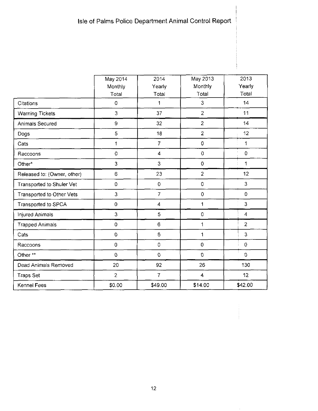|                             | May 2014       | 2014           | May 2013            | 2013                    |
|-----------------------------|----------------|----------------|---------------------|-------------------------|
|                             | Monthly        | Yearly         | Monthly             | Yearly                  |
|                             | Total          | Total          | Total               | Total                   |
| Citations                   | 0              | 1              | 3                   | 14                      |
| <b>Warning Tickets</b>      | 3              | 37             | $\overline{2}$      | 11                      |
| Animals Secured             | 9              | 32             | $\overline{2}$      | 14                      |
| Dogs                        | 5              | 18             | $\overline{2}$      | 12                      |
| Cats                        | 1              | $\overline{7}$ | 0                   | 1                       |
| Raccoons                    | 0              | 4              | $\mathbf 0$         | $\circ$                 |
| Other*                      | 3              | $\mathbf{3}$   | 0                   | 1                       |
| Released to: (Owner, other) | 6              | 23             | $\overline{2}$      | 12                      |
| Transported to Shuler Vet   | 0              | $\mathbf 0$    | 0                   | 3                       |
| Transported to Other Vets   | 3              | $\overline{7}$ | 0                   | $\overline{0}$          |
| Transported to SPCA         | 0              | 4              | 1                   | 3                       |
| Injured Animals             | 3              | 5              | 0                   | $\overline{\mathbf{4}}$ |
| <b>Trapped Animals</b>      | 0              | 6              | $\mathbf{1}$        | $\overline{c}$          |
| Cats                        | $\mathbf 0$    | 6              | 1                   | 3                       |
| Raccoons                    | 0              | 0              | 0                   | $\pmb{0}$               |
| Other**                     | 0              | $\mathbf 0$    | $\mathsf{O}\xspace$ | $\Omega$                |
| Dead Animals Removed        | 20             | 92             | 26                  | 130                     |
| <b>Traps Set</b>            | $\overline{2}$ | $\overline{7}$ | 4                   | 12                      |
| Kennel Fees                 | \$0.00         | \$49.00        | \$14.00             | \$42.00                 |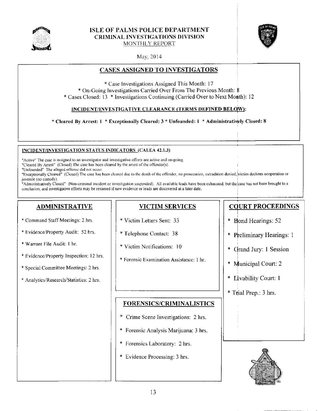

#### **ISLE OF PALMS POLICE DEPARTMENT CRIMINAL INVESTIGATIONS DIVISION** MONTHLY REPORT



May, 2014

#### **CASES ASSIGNED TO INVESTIGATORS**

\* Case Investigations Assigned This Month: 17 \* On-Going Investigations Carried Over From The Previous Month: 8 \* Cases Closed: 13 \* Investigations Continuing (Carried Over to Next Month): 12

#### INCIDENT/INVESTIGATIVE CLEARANCE (TERMS DEFINED BELOW):

\* Cleared By Arrest: 1 \* Exceptionally Cleared: 3 \* Unfounded: 1 \* Administratively Closed: 8

#### INCIDENT/INVESTIGATION STATUS INDICATORS (CALEA 42.1.3)

"Active" The case is assigned to an investigator and investigative efforts are active and on-going.

"Cleared By Arrest" (Closed) The case has been cleared by the arrest of the offender(s).

"Unfounded" The alleged offense did not occur.

"Exceptionally Cleared" (Closed) The case has been cleared due to the death of the offender, no prosecution, extradition denied, victim declines cooperation or juvenile (no custody).

"Administratively Closed" (Non-criminal incident or investigation suspended). All available leads have been exhausted, but the case has not been brought to a conclusion, and investigative efforts may be resumed if new evidence or leads are discovered at a later date.

#### **ADMINISTRATIVE**

- \* Command Staff Meetings: 2 hrs.
- \* Evidence/Property Audit: 52 hrs.
- \* Warrant File Audit: 1 hr.
- \* Evidence/Property Inspection: 12 hrs.
- \* Special Committee Meetings: 2 hrs.
- \* Analytics/Research/Statistics: 2 hrs.

#### **VICTIM SERVICES**

- \* Victim Letters Sent: 33
- \* Telephone Contact: 38
- \* Victim Notifications: 10
- \* Forensic Examination Assistance: 1 hr.

#### **FORENSICS/CRIMINALISTICS**

- \* Crime Scene Investigations: 2 hrs.
- \* Forensic Analysis Marijuana: 3 hrs.
- \* Forensics Laboratory: 2 hrs.
- \* Evidence Processing: 3 hrs.

#### **COURT PROCEEDINGS**

- \* Bond Hearings: 52
- \* Preliminary Hearings: 1
- \* Grand Jury: 1 Session
- \* Municipal Court: 2
- \* Livability Court: 1
- \* Trial Prep.: 3 hrs.

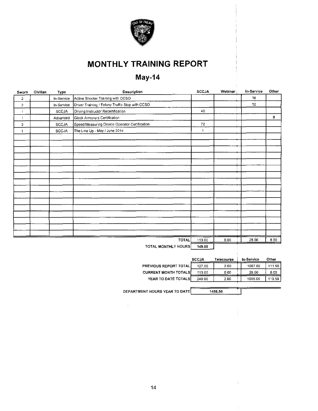

# **MONTHLY TRAINING REPORT**

# May-14

| Sworn            | Civilian | Type         | Description                                     | <b>SCCJA</b> | Webinar | In-Service      | Other |
|------------------|----------|--------------|-------------------------------------------------|--------------|---------|-----------------|-------|
| $\overline{2}$   |          | In-Service   | Active Shooter Training with CCSO               |              |         | 16              |       |
| $\boldsymbol{2}$ |          | In-Service   | Driver Training / Felony Traffic Stop with CCSO |              |         | 12 <sub>2</sub> |       |
| $\mathbf{1}$     |          | SCCJA        | Driving Instructor Recertification              | 40           |         |                 |       |
| $\mathbf{1}$     |          | Advanced     | Glock Armorers Certification                    |              |         |                 | 8     |
| з                |          | <b>SCCJA</b> | Speed Measuring Device Operator Certification   | 72           |         |                 |       |
| $\mathbf{1}$     |          | SCCJA        | The Line Up - May / June 2014                   | 1            |         |                 |       |
|                  |          |              |                                                 |              |         |                 |       |
|                  |          |              |                                                 |              |         |                 |       |
|                  |          |              |                                                 |              |         |                 |       |
|                  |          |              |                                                 |              |         |                 |       |
|                  |          |              |                                                 |              |         |                 |       |
|                  |          |              |                                                 |              |         |                 |       |
|                  |          |              |                                                 |              |         |                 |       |
|                  |          |              |                                                 |              |         |                 |       |
|                  |          |              |                                                 |              |         |                 |       |
|                  |          |              |                                                 |              |         |                 |       |
|                  |          |              |                                                 |              |         |                 |       |
|                  |          |              |                                                 |              |         |                 |       |
|                  |          |              |                                                 |              |         |                 |       |
|                  |          |              |                                                 |              |         |                 |       |
|                  |          |              |                                                 |              |         |                 |       |
|                  |          |              |                                                 |              |         |                 |       |
|                  |          |              | TOTAL                                           | 113.00       | 0.00    | 28.00           | 8.00  |
|                  |          |              | <b>TATH HAUTH VILOUDAL</b>                      | ALC: NO      |         |                 |       |

TOTAL MONTHLY HOURS 149.00

|                               | <b>SCCJA</b> | Telecourse | In-Service | Other  |
|-------------------------------|--------------|------------|------------|--------|
| <b>PREVIOUS REPORT TOTALI</b> | 127.00       | 2.00       | 1067.00    | 111.50 |
| <b>CURRENT MONTH TOTALS</b>   | 113.00       | 0.00       | 28.00      | 8.00   |
| YEAR TO DATE TOTALS           | 240.00       | 2.00       | 1035.00    | 119.50 |
|                               |              |            |            |        |

 $-4456.50$ 

DEPARTMENT HOURS YEAR TO DATE

 $\sim 10^6$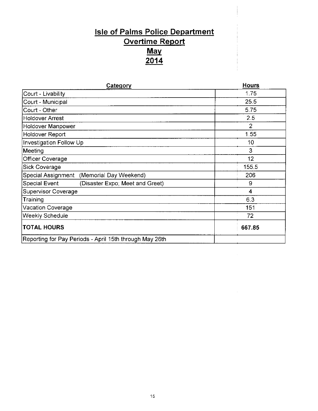# **Isle of Palms Police Department** Overtime Report <u>May</u> <u>201،</u>

| Category                                                | <b>Hours</b>   |
|---------------------------------------------------------|----------------|
| Court - Livability                                      | 1.75           |
| Court - Municipal                                       | 25.5           |
| Court - Other                                           | 5.75           |
| Holdover Arrest                                         | 2.5            |
| Holdover Manpower                                       | $\overline{2}$ |
| <b>Holdover Report</b>                                  | 1.55           |
| Investigation Follow Up                                 | 10             |
| Meeting                                                 | 3              |
| Officer Coverage                                        | 12             |
| <b>Sick Coverage</b>                                    | 155.5          |
| Special Assignment (Memorial Day Weekend)               | 206            |
| Special Event<br>(Disaster Expo; Meet and Greet)        | 9              |
| Supervisor Coverage                                     | 4              |
| Training                                                | 6.3            |
| Vacation Coverage                                       | 151            |
| Weekly Schedule                                         | 72             |
| <b>TOTAL HOURS</b>                                      | 667.85         |
| Reporting for Pay Periods - April 15th through May 26th |                |

 $\sim$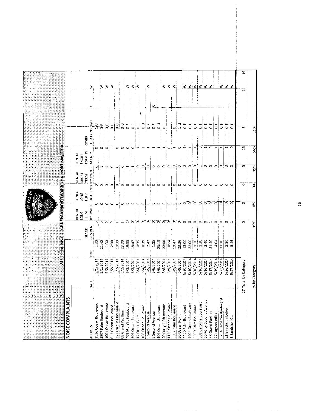| NOISE COMPLAINTS                            |                      | <b>STEOTAVA MSEQLICED FPANTNEUM BLUADI IN REPORTMAY 2014</b> |                    |                                 |              |                             |                                              |                          |                             |         |                 |
|---------------------------------------------|----------------------|--------------------------------------------------------------|--------------------|---------------------------------|--------------|-----------------------------|----------------------------------------------|--------------------------|-----------------------------|---------|-----------------|
|                                             |                      |                                                              |                    | RENTAL                          | RENTAL       | <b>RENTAL</b>               | RENTAL                                       |                          |                             |         |                 |
|                                             |                      |                                                              | <b>ISLAND</b>      | LONG<br>TERM                    | LONG<br>TERM | <b>SHORT</b><br><b>TERM</b> | <b>TERM BY</b><br>SHORT                      | <b>OTHER</b>             |                             |         |                 |
| <b>ADDRESS</b>                              | DATE                 | TIME                                                         | RESIDENT           | <b>BY OWNER</b>                 |              | BY AGENCY I BY OWNER        | AGENCY                                       |                          | LOCATIONS   F/U             | $\circ$ | $\leq$          |
| 1126 Ocean Boulevard                        | S/1/2014             | <br>သိ                                                       | o                  | o                               |              | ۰                           | O                                            | ांव                      | $\frac{1}{\sqrt{2}}$        |         |                 |
| 2807 Palm Boulevard                         | 5/1/2014             | 21:40                                                        | $\circ$            |                                 |              | $\circ$                     | H.                                           |                          | $\ddot{\circ}$              |         | ₹               |
| 1001 Ocean Boulevard                        | S/2/2014             | 1:30                                                         | $\circ$            |                                 |              | $\circ$                     | $\mathbf{H}$                                 | ਠ                        | $\overline{O}$              |         | $\geq$ $\geq$   |
| 613 Ocean Boulevard                         | 5/2/2014             | 2:00                                                         | Ö                  | $\circ$ $\circ$ $\circ$ $\circ$ |              | C                           | $\circ$                                      | $\overline{\phantom{0}}$ | $\frac{1}{\alpha}$          |         |                 |
| 213 Carolina Boulevard                      | 5/2/2014             | 18:39                                                        |                    |                                 |              | $\Box$                      | $\circ$                                      | ಾ                        | $\frac{1}{\alpha}$          |         |                 |
| 409 Merritt Boulevard<br>68 Grand Pavillion | 5/2/2014<br>5/3/2014 | 19:35<br>23:00                                               |                    | $\circ$                         |              | $\bullet$<br>$\circ$        | $\circ$<br>$-1$ :                            | ົ໐<br>Ó                  | $\rm _o$<br>щ.<br>$\bullet$ |         | ₹               |
| 806 Ocean Boulevard                         | 5/3/2014             | 19:47                                                        | ∘                  | $\circ$ $\circ$                 |              | $\circ$                     | $\rightarrow$                                | C                        | щ<br>$\circ$                |         | $\geq$          |
| 17 Ocean Point                              | 5/4/2014             | 0:35                                                         | Ö                  | $\circ$                         |              | $\circ$                     |                                              |                          | ¦u<br>∣o                    |         | ∶≲              |
| 106 Ocean Boulevard                         | S/4/2014             | 0:39                                                         | $\bullet$          | $\circ$                         |              | $\circ$                     | $\overline{O}$ $\overline{O}$ $\overline{O}$ |                          | $\frac{1}{2}$               |         |                 |
| 9 Second Avenue                             | S/5/2014             | 2:47                                                         | $\ddot{\circ}$     | $\circ$                         |              | O                           |                                              |                          | ∣"−                         |         | 3               |
| 9 Second Avenue                             | 5/6/2014             | 1:25                                                         | $\circ$            | $\circ$                         |              | $\bullet$                   | O <sub>i</sub>                               |                          | $\overline{0}$              | ی       |                 |
| 106 Ocean Boulevard                         | 5/6/2014             | 23:15                                                        | $\circ$            | $\circ$                         |              | $\circ$                     |                                              |                          | $\frac{D}{D}$               |         |                 |
| 20 Forty-Fifth Avenue                       | 5/8/2014             | 22:00                                                        | ਂ                  | $\circ$                         |              | $\circ$                     | $\circ$ $\circ$                              |                          | $rac{F}{Q}$                 |         | ₹               |
| 1130 Ocean Boulevard                        | 5/9/2014             | 0:24                                                         | $\overline{\circ}$ | $\circ$                         |              | $\circ$                     |                                              | $\circ$                  | $\frac{1}{\sqrt{2}}$        |         | ξ               |
| 3307 Palm Boulevard                         | 5/9/2014             | 19:47                                                        | $\circ$            | $\circ$                         |              | 0   0                       | . Q j O                                      |                          | $\frac{1}{\sigma}$          |         | $\geq$          |
| 30 Ocean Point                              | 5/9/2014             | 23:36                                                        | Ö                  | $\circ$                         |              |                             |                                              |                          | $\frac{1}{1}$               |         |                 |
| 4400 Palm Boulevard                         | 5/10/2014            | 12:00                                                        | $\circ$            | $\circ$                         |              | $\circ$                     | io:oj                                        |                          | щ<br>$\overline{\circ}$     |         | ₹               |
| 1004 Ocean Boulevard                        | 5/10/2014            | 22:00                                                        | $\circ$            | $\ddot{\circ}$                  |              | $\circ \circ \circ$         |                                              |                          | щ<br>ਠ                      |         | $\leq$          |
| 3900 Palm Boulevard                         | 5/16/2014            | 1:20                                                         | ಾ                  | $\ddot{\circ}$                  |              |                             | $\circ$                                      |                          | $\overline{\circ}$          |         | 3               |
| 301 Carolina Boulevard                      | 5/16/2014            | 1:30                                                         | ਾਂ                 | $\circ$                         |              |                             |                                              | $\circ$                  | $\overline{\circ}$          |         | ∣≥'≳            |
| 26 Forty-Second Avenue                      | 5/16/2014            | 2.40                                                         |                    | $\ddot{\circ}$                  |              | $\circ$                     |                                              | $\blacksquare$           | $\frac{1}{\sqrt{2}}$        |         |                 |
| 38 Grand Pavillion                          | 5/17/2014            | 21:20                                                        | m.                 | $\overline{\circ}$              |              | $\circ$                     |                                              | $\circ$                  | $\frac{1}{\sigma}$          |         | $\geq$          |
| 27 Lagoon Villas                            | 5/19/2014            | 4:04                                                         | $\circ$            | $\circ$                         |              | $\circ$                     |                                              |                          | $\frac{1}{2}$               |         |                 |
| 3704 Cameron Boulevard                      | 5/23/2014            | 23:30                                                        | $\circ$            |                                 | ಾ            | $\circ$                     | $\lnot$   a  a  a  a  a  a                   |                          | $\frac{1}{\sigma}$          |         | ⋧               |
| 21 Beachside Drive                          | 5/26/2014            | 2:20                                                         | $\circ$            |                                 | To           | $\circ$                     |                                              |                          | $\frac{1}{\sigma}$          |         | З               |
| 6 Sandshell Ct.                             | 5/27/2014            | 346                                                          |                    | $\circ$                         |              |                             |                                              | $\circ$                  | $\frac{1}{\sigma}$          |         | ⋧               |
|                                             |                      |                                                              | in.                | $\circ$                         |              | $\circ$                     | LO.                                          |                          |                             |         |                 |
|                                             | 27 Total by Category |                                                              |                    |                                 |              |                             |                                              | Ξ,                       | m                           |         | $\overline{19}$ |
|                                             | % by Category        |                                                              | 19%                | క                               |              | $\frac{8}{5}$               | 19%                                          | 56%                      | 11%                         |         |                 |